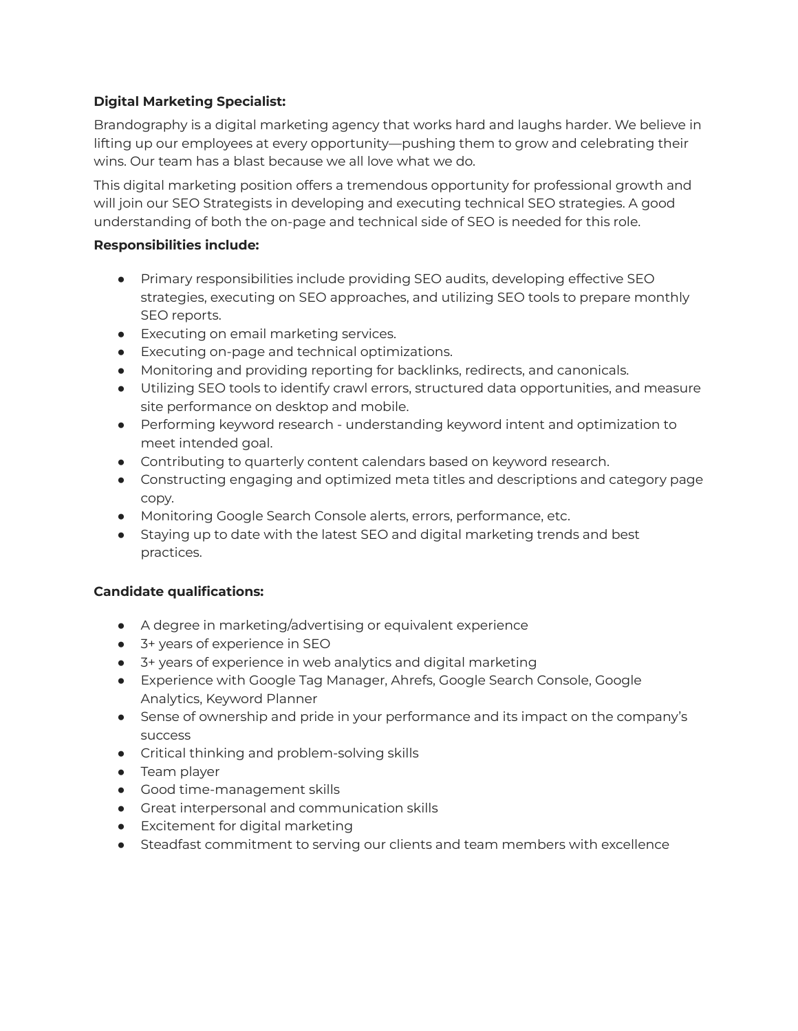## **Digital Marketing Specialist:**

Brandography is a digital marketing agency that works hard and laughs harder. We believe in lifting up our employees at every opportunity—pushing them to grow and celebrating their wins. Our team has a blast because we all love what we do.

This digital marketing position offers a tremendous opportunity for professional growth and will join our SEO Strategists in developing and executing technical SEO strategies. A good understanding of both the on-page and technical side of SEO is needed for this role.

## **Responsibilities include:**

- Primary responsibilities include providing SEO audits, developing effective SEO strategies, executing on SEO approaches, and utilizing SEO tools to prepare monthly SEO reports.
- Executing on email marketing services.
- Executing on-page and technical optimizations.
- Monitoring and providing reporting for backlinks, redirects, and canonicals.
- Utilizing SEO tools to identify crawl errors, structured data opportunities, and measure site performance on desktop and mobile.
- Performing keyword research understanding keyword intent and optimization to meet intended goal.
- Contributing to quarterly content calendars based on keyword research.
- Constructing engaging and optimized meta titles and descriptions and category page copy.
- Monitoring Google Search Console alerts, errors, performance, etc.
- Staying up to date with the latest SEO and digital marketing trends and best practices.

## **Candidate qualifications:**

- A degree in marketing/advertising or equivalent experience
- 3+ years of experience in SEO
- 3+ years of experience in web analytics and digital marketing
- Experience with Google Tag Manager, Ahrefs, Google Search Console, Google Analytics, Keyword Planner
- Sense of ownership and pride in your performance and its impact on the company's success
- Critical thinking and problem-solving skills
- Team player
- Good time-management skills
- Great interpersonal and communication skills
- Excitement for digital marketing
- Steadfast commitment to serving our clients and team members with excellence